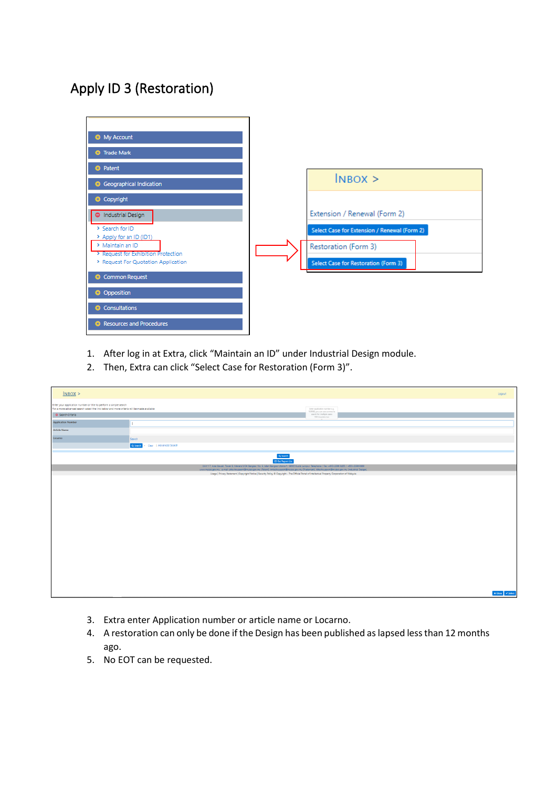## Apply ID 3 (Restoration)



- 1. After log in at Extra, click "Maintain an ID" under Industrial Design module.
- 2. Then, Extra can click "Select Case for Restoration (Form 3)".

| $N$ BOX >                                                         |                                                                                                                                                                                                                                                                                                                  |                                                   | Logout                                                                                                |  |  |  |
|-------------------------------------------------------------------|------------------------------------------------------------------------------------------------------------------------------------------------------------------------------------------------------------------------------------------------------------------------------------------------------------------|---------------------------------------------------|-------------------------------------------------------------------------------------------------------|--|--|--|
| Enter your application number or title to perform a simple search | For a more advanced search select the link below and more criteria will be made available<br>Enter application number e.g.<br>109088, you can use comma to                                                                                                                                                       |                                                   |                                                                                                       |  |  |  |
| <b>O</b> Search Criteria                                          |                                                                                                                                                                                                                                                                                                                  | search for multiple cases<br>1900 characters max. |                                                                                                       |  |  |  |
| <b>Application Number</b>                                         |                                                                                                                                                                                                                                                                                                                  |                                                   |                                                                                                       |  |  |  |
| Article Name                                                      |                                                                                                                                                                                                                                                                                                                  |                                                   |                                                                                                       |  |  |  |
| Locarno                                                           | Search                                                                                                                                                                                                                                                                                                           |                                                   |                                                                                                       |  |  |  |
|                                                                   | Q Search - Clear   Advanced Search                                                                                                                                                                                                                                                                               |                                                   |                                                                                                       |  |  |  |
|                                                                   | ${\bf Q}$ Search<br><b>El Get Report List</b>                                                                                                                                                                                                                                                                    |                                                   |                                                                                                       |  |  |  |
|                                                                   | Unit 1-7, Aras Bawah, Tower B, Menara UOA Bangsar, No. 5, Jalan Bangsar Utama 1, 59000 Kuala Lumpur. Telephone / Fax: +603-2299 8400 / +603-2299 8989<br>www.myipo.gov.my . e-mail: pttechsupport@myipo.gov.my (Patent), tmtechsupport@myipo.gov.my (Trademark), idtechsupport@myipo.gov.my (Industrial Design). |                                                   |                                                                                                       |  |  |  |
|                                                                   | Usage   Privacy Statement   Copyright Notice   Security Policy ® Copyright - The Official Portal of Intellectual Property Corporation of Malaysia                                                                                                                                                                |                                                   |                                                                                                       |  |  |  |
|                                                                   |                                                                                                                                                                                                                                                                                                                  |                                                   |                                                                                                       |  |  |  |
|                                                                   |                                                                                                                                                                                                                                                                                                                  |                                                   | $\begin{tabular}{ c c } \hline \textbf{R} \textbf{ Close} & \textbf{W} \textbf{Select} \end{tabular}$ |  |  |  |

- 3. Extra enter Application number or article name or Locarno.
- 4. A restoration can only be done if the Design has been published as lapsed less than 12 months ago.
- 5. No EOT can be requested.